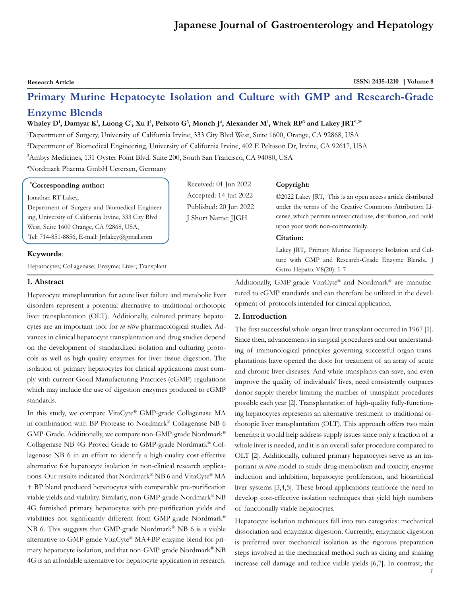# **Japanese Journal of Gastroenterology and Hepatology**

**Research Article ISSN: 2435-1210 | Volume 8** 

# **Primary Murine Hepatocyte Isolation and Culture with GMP and Research-Grade Enzyme Blends**

#### **Whaley D1 , Damyar K1 , Luong C1 , Xu I1 , Peixoto G3 , Monch J4 , Alexander M1 , Witek RP3 and Lakey JRT1,2\***

1 Department of Surgery, University of California Irvine, 333 City Blvd West, Suite 1600, Orange, CA 92868, USA 2 Department of Biomedical Engineering, University of California Irvine, 402 E Peltason Dr, Irvine, CA 92617, USA 3 Ambys Medicines, 131 Oyster Point Blvd. Suite 200, South San Francisco, CA 94080, USA

4 Nordmark Pharma GmbH Uetersen, Germany

#### **\* Corresponding author:**

#### Jonathan RT Lakey,

Department of Surgery and Biomedical Engineering, University of California Irvine, 333 City Blvd West, Suite 1600 Orange, CA 92868, USA, Tel: 714-851-8856, E-mail: [Jrtlakey@gmail.com](mailto:Jrtlakey@gmail.com)

#### **Keywords**:

Hepatocytes; Collagenase; Enzyme; Liver; Transplant

#### **1. Abstract**

Hepatocyte transplantation for acute liver failure and metabolic liver disorders represent a potential alternative to traditional orthotopic liver transplantation (OLT). Additionally, cultured primary hepatocytes are an important tool for *in vitro* pharmacological studies. Advances in clinical hepatocyte transplantation and drug studies depend on the development of standardized isolation and culturing protocols as well as high-quality enzymes for liver tissue digestion. The isolation of primary hepatocytes for clinical applications must comply with current Good Manufacturing Practices (cGMP) regulations which may include the use of digestion enzymes produced to cGMP standards.

In this study, we compare VitaCyte® GMP-grade Collagenase MA in combination with BP Protease to Nordmark® Collagenase NB 6 GMP-Grade. Additionally, we compare non-GMP-grade Nordmark® Collagenase NB 4G Proved Grade to GMP-grade Nordmark® Collagenase NB 6 in an effort to identify a high-quality cost-effective alternative for hepatocyte isolation in non-clinical research applications. Our results indicated that Nordmark® NB 6 and VitaCyte® MA + BP blend produced hepatocytes with comparable pre-purification viable yields and viability. Similarly, non-GMP-grade Nordmark® NB 4G furnished primary hepatocytes with pre-purification yields and viabilities not significantly different from GMP-grade Nordmark® NB 6. This suggests that GMP-grade Nordmark® NB 6 is a viable alternative to GMP-grade VitaCyte® MA+BP enzyme blend for primary hepatocyte isolation, and that non-GMP-grade Nordmark® NB 4G is an affordable alternative for hepatocyte application in research.

Received: 01 Jun 2022 Accepted: 14 Jun 2022 Published: 20 Jun 2022 J Short Name: JJGH

# **Copyright:**

©2022 Lakey JRT, This is an open access article distributed under the terms of the Creative Commons Attribution License, which permits unrestricted use, distribution, and build upon your work non-commercially.

## **Citation:**

Lakey JRT,. Primary Murine Hepatocyte Isolation and Culture with GMP and Research-Grade Enzyme Blends.. J Gstro Hepato. V8(20): 1-7

Additionally, GMP-grade VitaCyte® and Nordmark® are manufactured to cGMP standards and can therefore be utilized in the development of protocols intended for clinical application.

# **2. Introduction**

The first successful whole-organ liver transplant occurred in 1967 [1]. Since then, advancements in surgical procedures and our understanding of immunological principles governing successful organ transplantations have opened the door for treatment of an array of acute and chronic liver diseases. And while transplants can save, and even improve the quality of individuals' lives, need consistently outpaces donor supply thereby limiting the number of transplant procedures possible each year [2]. Transplantation of high-quality fully-functioning hepatocytes represents an alternative treatment to traditional orthotopic liver transplantation (OLT). This approach offers two main benefits: it would help address supply issues since only a fraction of a whole liver is needed, and it is an overall safer procedure compared to OLT [2]. Additionally, cultured primary hepatocytes serve as an important *in vitro* model to study drug metabolism and toxicity, enzyme induction and inhibition, hepatocyte proliferation, and bioartificial liver systems [3,4,5]. These broad applications reinforce the need to develop cost-effective isolation techniques that yield high numbers of functionally viable hepatocytes.

Hepatocyte isolation techniques fall into two categories: mechanical dissociation and enzymatic digestion. Currently, enzymatic digestion is preferred over mechanical isolation as the rigorous preparation steps involved in the mechanical method such as dicing and shaking increase cell damage and reduce viable yields [6,7]. In contrast, the

 *1*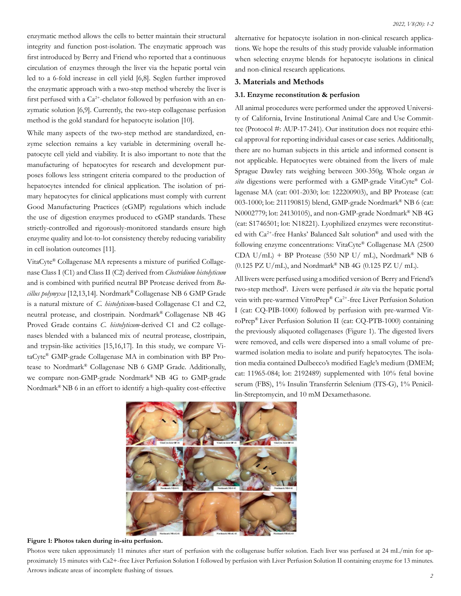enzymatic method allows the cells to better maintain their structural integrity and function post-isolation. The enzymatic approach was first introduced by Berry and Friend who reported that a continuous circulation of enzymes through the liver via the hepatic portal vein led to a 6-fold increase in cell yield [6,8]. Seglen further improved the enzymatic approach with a two-step method whereby the liver is first perfused with a  $Ca^{2+}$ -chelator followed by perfusion with an enzymatic solution [6,9]. Currently, the two-step collagenase perfusion method is the gold standard for hepatocyte isolation [10].

While many aspects of the two-step method are standardized, enzyme selection remains a key variable in determining overall hepatocyte cell yield and viability. It is also important to note that the manufacturing of hepatocytes for research and development purposes follows less stringent criteria compared to the production of hepatocytes intended for clinical application. The isolation of primary hepatocytes for clinical applications must comply with current Good Manufacturing Practices (cGMP) regulations which include the use of digestion enzymes produced to cGMP standards. These strictly-controlled and rigorously-monitored standards ensure high enzyme quality and lot-to-lot consistency thereby reducing variability in cell isolation outcomes [11].

VitaCyte® Collagenase MA represents a mixture of purified Collagenase Class I (C1) and Class II (C2) derived from *Clostridium histolyticum*  and is combined with purified neutral BP Protease derived from *Bacillus polymyxa* [12,13,14]. Nordmark® Collagenase NB 6 GMP Grade is a natural mixture of *C. histolyticum*-based Collagenase C1 and C2, neutral protease, and clostripain. Nordmark® Collagenase NB 4G Proved Grade contains *C. histolyticum*-derived C1 and C2 collagenases blended with a balanced mix of neutral protease, clostripain, and trypsin-like activities [15,16,17]. In this study, we compare VitaCyte® GMP-grade Collagenase MA in combination with BP Protease to Nordmark® Collagenase NB 6 GMP Grade. Additionally, we compare non-GMP-grade Nordmark® NB 4G to GMP-grade Nordmark® NB 6 in an effort to identify a high-quality cost-effective alternative for hepatocyte isolation in non-clinical research applications. We hope the results of this study provide valuable information when selecting enzyme blends for hepatocyte isolations in clinical and non-clinical research applications.

# **3. Materials and Methods**

#### **3.1. Enzyme reconstitution & perfusion**

All animal procedures were performed under the approved University of California, Irvine Institutional Animal Care and Use Committee (Protocol #: AUP-17-241). Our institution does not require ethical approval for reporting individual cases or case series. Additionally, there are no human subjects in this article and informed consent is not applicable. Hepatocytes were obtained from the livers of male Sprague Dawley rats weighing between 300-350g. Whole organ *in situ* digestions were performed with a GMP-grade VitaCyte® Collagenase MA (cat: 001-2030; lot: 122200903), and BP Protease (cat: 003-1000; lot: 211190815) blend, GMP-grade Nordmark® NB 6 (cat: N0002779; lot: 24130105), and non-GMP-grade Nordmark® NB 4G (cat: S1746501; lot: N18221). Lyophilized enzymes were reconstituted with Ca2+-free Hanks' Balanced Salt solution® and used with the following enzyme concentrations: VitaCyte® Collagenase MA (2500 CDA U/mL) + BP Protease (550 NP U/ mL), Nordmark® NB 6  $(0.125 \text{ PZ U/mL})$ , and Nordmark® NB 4G  $(0.125 \text{ PZ U/mL})$ .

All livers were perfused using a modified version of Berry and Friend's two-step method<sup>8</sup>. Livers were perfused *in situ* via the hepatic portal vein with pre-warmed VitroPrep® Ca<sup>2+</sup>-free Liver Perfusion Solution I (cat: CQ-PIB-1000) followed by perfusion with pre-warmed VitroPrep® Liver Perfusion Solution II (cat: CQ-PTB-1000) containing the previously aliquoted collagenases (Figure 1). The digested livers were removed, and cells were dispersed into a small volume of prewarmed isolation media to isolate and purify hepatocytes. The isolation media contained Dulbecco's modified Eagle's medium (DMEM; cat: 11965-084; lot: 2192489) supplemented with 10% fetal bovine serum (FBS), 1% Insulin Transferrin Selenium (ITS-G), 1% Penicillin-Streptomycin, and 10 mM Dexamethasone.



#### **Figure 1: Photos taken during in-situ perfusion.**

Photos were taken approximately 11 minutes after start of perfusion with the collagenase buffer solution. Each liver was perfused at 24 mL/min for approximately 15 minutes with Ca2+-free Liver Perfusion Solution I followed by perfusion with Liver Perfusion Solution II containing enzyme for 13 minutes. Arrows indicate areas of incomplete flushing of tissues.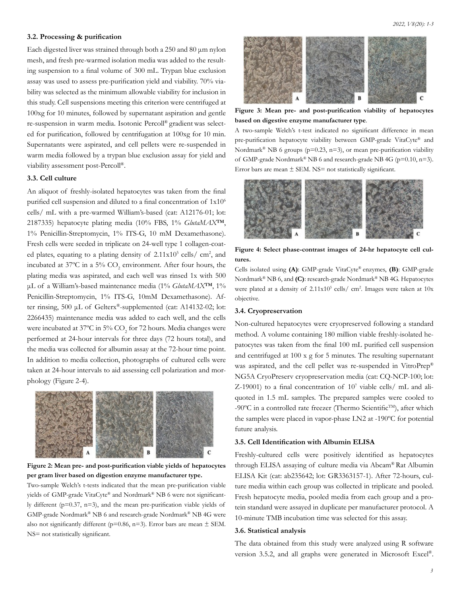#### **3.2. Processing & purification**

Each digested liver was strained through both a 250 and 80 μm nylon mesh, and fresh pre-warmed isolation media was added to the resulting suspension to a final volume of 300 mL. Trypan blue exclusion assay was used to assess pre-purification yield and viability. 70% viability was selected as the minimum allowable viability for inclusion in this study. Cell suspensions meeting this criterion were centrifuged at 100xg for 10 minutes, followed by supernatant aspiration and gentle re-suspension in warm media. Isotonic Percoll® gradient was selected for purification, followed by centrifugation at 100xg for 10 min. Supernatants were aspirated, and cell pellets were re-suspended in warm media followed by a trypan blue exclusion assay for yield and viability assessment post-Percoll®.

# **3.3. Cell culture**

An aliquot of freshly-isolated hepatocytes was taken from the final purified cell suspension and diluted to a final concentration of  $1x10^6$ cells/ mL with a pre-warmed William's-based (cat: A12176-01; lot: 2187335) hepatocyte plating media (10% FBS, 1% *GlutaMAX*™, 1% Penicillin-Streptomycin, 1% ITS-G, 10 mM Dexamethasone). Fresh cells were seeded in triplicate on 24-well type 1 collagen-coated plates, equating to a plating density of  $2.11 \times 10^5$  cells/ cm<sup>2</sup>, and incubated at 37°C in a 5%  $CO_2$  environment. After four hours, the plating media was aspirated, and each well was rinsed 1x with 500 μL of a William's-based maintenance media (1% *GlutaMAX*™, 1% Penicillin-Streptomycin, 1% ITS-G, 10mM Dexamethasone). After rinsing, 500 μL of Gelterx®-supplemented (cat: A14132-02; lot: 2266435) maintenance media was added to each well, and the cells were incubated at 37°C in 5% CO<sub>2</sub> for 72 hours. Media changes were performed at 24-hour intervals for three days (72 hours total), and the media was collected for albumin assay at the 72-hour time point. In addition to media collection, photographs of cultured cells were taken at 24-hour intervals to aid assessing cell polarization and morphology (Figure 2-4).





Two-sample Welch's t-tests indicated that the mean pre-purification viable yields of GMP-grade VitaCyte® and Nordmark® NB 6 were not significantly different (p=0.37, n=3), and the mean pre-purification viable yields of GMP-grade Nordmark® NB 6 and research-grade Nordmark® NB 4G were also not significantly different ( $p=0.86$ ,  $n=3$ ). Error bars are mean  $\pm$  SEM. NS= not statistically significant.



**Figure 3: Mean pre- and post-purification viability of hepatocytes based on digestive enzyme manufacturer type**.

A two-sample Welch's t-test indicated no significant difference in mean pre-purification hepatocyte viability between GMP-grade VitaCyte® and Nordmark<sup>®</sup> NB 6 groups ( $p=0.23$ ,  $n=3$ ), or mean pre-purification viability of GMP-grade Nordmark® NB 6 and research-grade NB 4G (p=0.10, n=3). Error bars are mean  $\pm$  SEM. NS= not statistically significant.



**Figure 4: Select phase-contrast images of 24-hr hepatocyte cell cultures.** 

Cells isolated using **(A)**: GMP-grade VitaCyte® enzymes, **(B)**: GMP-grade Nordmark® NB 6, and **(C)**: research-grade Nordmark® NB 4G. Hepatocytes were plated at a density of  $2.11x10^5$  cells/ cm<sup>2</sup>. Images were taken at  $10x$ objective.

# **3.4. Cryopreservation**

Non-cultured hepatocytes were cryopreserved following a standard method. A volume containing 180 million viable freshly-isolated hepatocytes was taken from the final 100 mL purified cell suspension and centrifuged at 100 x g for 5 minutes. The resulting supernatant was aspirated, and the cell pellet was re-suspended in VitroPrep® NG5A CryoPreserv cryopreservation media (cat: CQ-NCP-100; lot: Z-19001) to a final concentration of  $10^7$  viable cells/ mL and aliquoted in 1.5 mL samples. The prepared samples were cooled to -90 $^{\circ}$ C in a controlled rate freezer (Thermo Scientific<sup>TM</sup>), after which the samples were placed in vapor-phase LN2 at -190ºC for potential future analysis.

#### **3.5. Cell Identification with Albumin ELISA**

Freshly-cultured cells were positively identified as hepatocytes through ELISA assaying of culture media via Abcam® Rat Albumin ELISA Kit (cat: ab235642; lot: GR3363157-1). After 72-hours, culture media within each group was collected in triplicate and pooled. Fresh hepatocyte media, pooled media from each group and a protein standard were assayed in duplicate per manufacturer protocol. A 10-minute TMB incubation time was selected for this assay.

#### **3.6. Statistical analysis**

The data obtained from this study were analyzed using R software version 3.5.2, and all graphs were generated in Microsoft Excel®.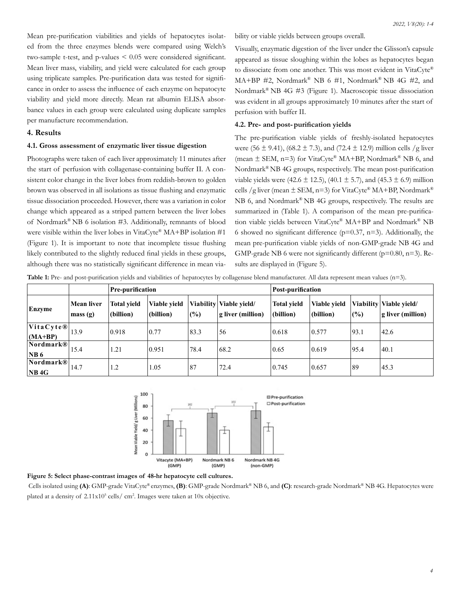Mean pre-purification viabilities and yields of hepatocytes isolated from the three enzymes blends were compared using Welch's two-sample t-test, and p-values < 0.05 were considered significant. Mean liver mass, viability, and yield were calculated for each group using triplicate samples. Pre-purification data was tested for significance in order to assess the influence of each enzyme on hepatocyte viability and yield more directly. Mean rat albumin ELISA absorbance values in each group were calculated using duplicate samples per manufacture recommendation.

# **4. Results**

#### **4.1. Gross assessment of enzymatic liver tissue digestion**

Photographs were taken of each liver approximately 11 minutes after the start of perfusion with collagenase-containing buffer II. A consistent color change in the liver lobes from reddish-brown to golden brown was observed in all isolations as tissue flushing and enzymatic tissue dissociation proceeded. However, there was a variation in color change which appeared as a striped pattern between the liver lobes of Nordmark® NB 6 isolation #3. Additionally, remnants of blood were visible within the liver lobes in VitaCyte® MA+BP isolation #1 (Figure 1). It is important to note that incomplete tissue flushing likely contributed to the slightly reduced final yields in these groups, although there was no statistically significant difference in mean viability or viable yields between groups overall.

Visually, enzymatic digestion of the liver under the Glisson's capsule appeared as tissue sloughing within the lobes as hepatocytes began to dissociate from one another. This was most evident in VitaCyte® MA+BP #2, Nordmark<sup>®</sup> NB 6 #1, Nordmark<sup>®</sup> NB 4G #2, and Nordmark® NB 4G #3 (Figure 1). Macroscopic tissue dissociation was evident in all groups approximately 10 minutes after the start of perfusion with buffer II.

## **4.2. Pre- and post- purification yields**

The pre-purification viable yields of freshly-isolated hepatocytes were (56  $\pm$  9.41), (68.2  $\pm$  7.3), and (72.4  $\pm$  12.9) million cells /g liver (mean  $\pm$  SEM, n=3) for VitaCyte® MA+BP, Nordmark® NB 6, and Nordmark® NB 4G groups, respectively. The mean post-purification viable yields were (42.6  $\pm$  12.5), (40.1  $\pm$  5.7), and (45.3  $\pm$  6.9) million cells /g liver (mean  $\pm$  SEM, n=3) for VitaCyte® MA+BP, Nordmark® NB 6, and Nordmark® NB 4G groups, respectively. The results are summarized in (Table 1). A comparison of the mean pre-purification viable yields between VitaCyte® MA+BP and Nordmark® NB 6 showed no significant difference ( $p=0.37$ ,  $n=3$ ). Additionally, the mean pre-purification viable yields of non-GMP-grade NB 4G and GMP-grade NB 6 were not significantly different  $(p=0.80, n=3)$ . Results are displayed in (Figure 5).

|  |  |  |  | <b>Table 1:</b> Pre- and post-purification yields and viabilities of hepatocytes by collagenase blend manufacturer. All data represent mean values $(n=3)$ . |  |
|--|--|--|--|--------------------------------------------------------------------------------------------------------------------------------------------------------------|--|
|  |  |  |  |                                                                                                                                                              |  |

|                                                    |                              | <b>Pre-purification</b>         |                           |      |                                                  | Post-purification               |                                  |      |                                                  |
|----------------------------------------------------|------------------------------|---------------------------------|---------------------------|------|--------------------------------------------------|---------------------------------|----------------------------------|------|--------------------------------------------------|
| Enzyme                                             | <b>Mean liver</b><br>mass(g) | <b>Total yield</b><br>(billion) | Viable vield<br>(billion) | (%)  | Viability Viable vield/<br>$ g $ liver (million) | <b>Total yield</b><br>(billion) | <b>Viable vield</b><br>(billion) | (%)  | Viability Viable yield/<br>$ g $ liver (million) |
| $\vert$ VitaCyte® $\vert$<br>$(MA+BP)$             | 13.9                         | 0.918                           | 0.77                      | 83.3 | 56                                               | 0.618                           | 0.577                            | 93.1 | 42.6                                             |
| Nordmark®<br>NB6                                   | 15.4                         | 1.21                            | 0.951                     | 78.4 | 68.2                                             | 0.65                            | 0.619                            | 95.4 | 40.1                                             |
| Nordmark <sup>®</sup><br>$\overline{\text{NB 4G}}$ | 14.7                         | 1.2                             | 1.05                      | 87   | 72.4                                             | 0.745                           | 0.657                            | 89   | 45.3                                             |



### **Figure 5: Select phase-contrast images of 48-hr hepatocyte cell cultures.**

Cells isolated using **(A)**: GMP-grade VitaCyte® enzymes, **(B)**: GMP-grade Nordmark® NB 6, and **(C)**: research-grade Nordmark® NB 4G. Hepatocytes were plated at a density of 2.11x10<sup>5</sup> cells/ cm<sup>2</sup>. Images were taken at 10x objective.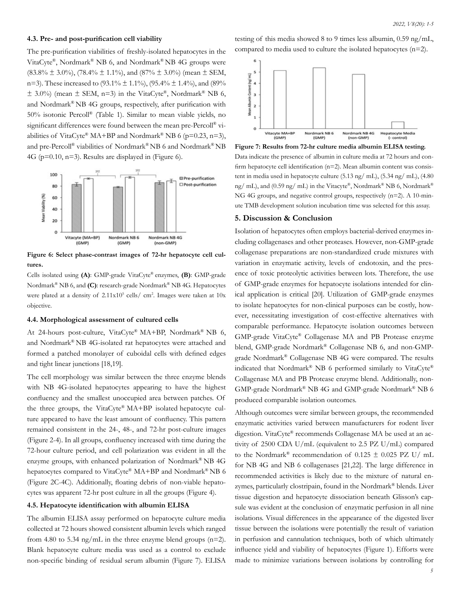#### **4.3. Pre- and post-purification cell viability**

The pre-purification viabilities of freshly-isolated hepatocytes in the VitaCyte®, Nordmark® NB 6, and Nordmark® NB 4G groups were  $(83.8\% \pm 3.0\%)$ ,  $(78.4\% \pm 1.1\%)$ , and  $(87\% \pm 3.0\%)$  (mean  $\pm$  SEM, n=3). These increased to  $(93.1\% \pm 1.1\%)$ ,  $(95.4\% \pm 1.4\%)$ , and  $(89\%$  $\pm$  3.0%) (mean  $\pm$  SEM, n=3) in the VitaCyte®, Nordmark® NB 6, and Nordmark® NB 4G groups, respectively, after purification with 50% isotonic Percoll® (Table 1). Similar to mean viable yields, no significant differences were found between the mean pre-Percoll® viabilities of VitaCyte® MA+BP and Nordmark® NB 6 (p=0.23, n=3), and pre-Percoll® viabilities of Nordmark® NB 6 and Nordmark® NB 4G ( $p=0.10$ ,  $n=3$ ). Results are displayed in (Figure 6).



**Figure 6: Select phase-contrast images of 72-hr hepatocyte cell cultures.** 

Cells isolated using **(A)**: GMP-grade VitaCyte® enzymes, **(B)**: GMP-grade Nordmark® NB 6, and **(C)**: research-grade Nordmark® NB 4G. Hepatocytes were plated at a density of  $2.11x10^5$  cells/ cm<sup>2</sup>. Images were taken at  $10x$ objective.

#### **4.4. Morphological assessment of cultured cells**

At 24-hours post-culture, VitaCyte® MA+BP, Nordmark® NB 6, and Nordmark® NB 4G-isolated rat hepatocytes were attached and formed a patched monolayer of cuboidal cells with defined edges and tight linear junctions [18,19].

The cell morphology was similar between the three enzyme blends with NB 4G-isolated hepatocytes appearing to have the highest confluency and the smallest unoccupied area between patches. Of the three groups, the VitaCyte® MA+BP isolated hepatocyte culture appeared to have the least amount of confluency. This pattern remained consistent in the 24-, 48-, and 72-hr post-culture images (Figure 2-4). In all groups, confluency increased with time during the 72-hour culture period, and cell polarization was evident in all the enzyme groups, with enhanced polarization of Nordmark® NB 4G hepatocytes compared to VitaCyte® MA+BP and Nordmark® NB 6 (Figure 2C-4C). Additionally, floating debris of non-viable hepatocytes was apparent 72-hr post culture in all the groups (Figure 4).

#### **4.5. Hepatocyte identification with albumin ELISA**

The albumin ELISA assay performed on hepatocyte culture media collected at 72 hours showed consistent albumin levels which ranged from 4.80 to 5.34 ng/mL in the three enzyme blend groups  $(n=2)$ . Blank hepatocyte culture media was used as a control to exclude non-specific binding of residual serum albumin (Figure 7). ELISA

testing of this media showed 8 to 9 times less albumin, 0.59 ng/mL, compared to media used to culture the isolated hepatocytes (n=2).



**Figure 7: Results from 72-hr culture media albumin ELISA testing.**  Data indicate the presence of albumin in culture media at 72 hours and confirm hepatocyte cell identification (n=2). Mean albumin content was consistent in media used in hepatocyte culture (5.13 ng/ mL), (5.34 ng/ mL), (4.80 ng/ mL), and (0.59 ng/ mL) in the Vitacyte®, Nordmark® NB 6, Nordmark® NG 4G groups, and negative control groups, respectively (n=2). A 10-minute TMB development solution incubation time was selected for this assay.

#### **5. Discussion & Conclusion**

Isolation of hepatocytes often employs bacterial-derived enzymes including collagenases and other proteases. However, non-GMP-grade collagenase preparations are non-standardized crude mixtures with variation in enzymatic activity, levels of endotoxin, and the presence of toxic proteolytic activities between lots. Therefore, the use of GMP-grade enzymes for hepatocyte isolations intended for clinical application is critical [20]. Utilization of GMP-grade enzymes to isolate hepatocytes for non-clinical purposes can be costly, however, necessitating investigation of cost-effective alternatives with comparable performance. Hepatocyte isolation outcomes between GMP-grade VitaCyte® Collagenase MA and PB Protease enzyme blend, GMP-grade Nordmark® Collagenase NB 6, and non-GMPgrade Nordmark® Collagenase NB 4G were compared. The results indicated that Nordmark® NB 6 performed similarly to VitaCyte® Collagenase MA and PB Protease enzyme blend. Additionally, non-GMP-grade Nordmark® NB 4G and GMP-grade Nordmark® NB 6 produced comparable isolation outcomes.

Although outcomes were similar between groups, the recommended enzymatic activities varied between manufacturers for rodent liver digestion. VitaCyte® recommends Collagenase MA be used at an activity of 2500 CDA U/mL (equivalent to 2.5 PZ U/mL) compared to the Nordmark® recommendation of  $0.125 \pm 0.025$  PZ U/ mL for NB 4G and NB 6 collagenases [21,22]. The large difference in recommended activities is likely due to the mixture of natural enzymes, particularly clostripain, found in the Nordmark® blends. Liver tissue digestion and hepatocyte dissociation beneath Glisson's capsule was evident at the conclusion of enzymatic perfusion in all nine isolations. Visual differences in the appearance of the digested liver tissue between the isolations were potentially the result of variation in perfusion and cannulation techniques, both of which ultimately influence yield and viability of hepatocytes (Figure 1). Efforts were made to minimize variations between isolations by controlling for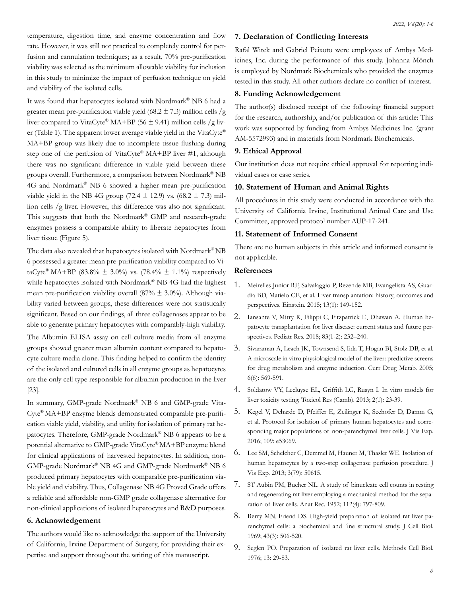temperature, digestion time, and enzyme concentration and flow rate. However, it was still not practical to completely control for perfusion and cannulation techniques; as a result, 70% pre-purification viability was selected as the minimum allowable viability for inclusion in this study to minimize the impact of perfusion technique on yield and viability of the isolated cells.

It was found that hepatocytes isolated with Nordmark® NB 6 had a greater mean pre-purification viable yield (68.2  $\pm$  7.3) million cells /g liver compared to VitaCyte® MA+BP (56  $\pm$  9.41) million cells /g liver (Table 1). The apparent lower average viable yield in the VitaCyte® MA+BP group was likely due to incomplete tissue flushing during step one of the perfusion of VitaCyte® MA+BP liver #1, although there was no significant difference in viable yield between these groups overall. Furthermore, a comparison between Nordmark® NB 4G and Nordmark® NB 6 showed a higher mean pre-purification viable yield in the NB 4G group (72.4  $\pm$  12.9) vs. (68.2  $\pm$  7.3) million cells /g liver. However, this difference was also not significant. This suggests that both the Nordmark® GMP and research-grade enzymes possess a comparable ability to liberate hepatocytes from liver tissue (Figure 5).

The data also revealed that hepatocytes isolated with Nordmark® NB 6 possessed a greater mean pre-purification viability compared to VitaCyte<sup>®</sup> MA+BP (83.8%  $\pm$  3.0%) vs. (78.4%  $\pm$  1.1%) respectively while hepatocytes isolated with Nordmark<sup>®</sup> NB 4G had the highest mean pre-purification viability overall (87%  $\pm$  3.0%). Although viability varied between groups, these differences were not statistically significant. Based on our findings, all three collagenases appear to be able to generate primary hepatocytes with comparably-high viability.

The Albumin ELISA assay on cell culture media from all enzyme groups showed greater mean albumin content compared to hepatocyte culture media alone. This finding helped to confirm the identity of the isolated and cultured cells in all enzyme groups as hepatocytes are the only cell type responsible for albumin production in the liver [23].

In summary, GMP-grade Nordmark® NB 6 and GMP-grade Vita-Cyte® MA+BP enzyme blends demonstrated comparable pre-purification viable yield, viability, and utility for isolation of primary rat hepatocytes. Therefore, GMP-grade Nordmark® NB 6 appears to be a potential alternative to GMP-grade VitaCyte® MA+BPenzyme blend for clinical applications of harvested hepatocytes. In addition, non-GMP-grade Nordmark® NB 4G and GMP-grade Nordmark® NB 6 produced primary hepatocytes with comparable pre-purification viable yield and viability. Thus, Collagenase NB 4G Proved Grade offers a reliable and affordable non-GMP grade collagenase alternative for non-clinical applications of isolated hepatocytes and R&D purposes.

# **6. Acknowledgement**

The authors would like to acknowledge the support of the University of California, Irvine Department of Surgery, for providing their expertise and support throughout the writing of this manuscript.

# **7. Declaration of Conflicting Interests**

Rafal Witek and Gabriel Peixoto were employees of Ambys Medicines, Inc. during the performance of this study. Johanna Mönch is employed by Nordmark Biochemicals who provided the enzymes tested in this study. All other authors declare no conflict of interest.

# **8. Funding Acknowledgement**

The author(s) disclosed receipt of the following financial support for the research, authorship, and/or publication of this article: This work was supported by funding from Ambys Medicines Inc. (grant AM-5572993) and in materials from Nordmark Biochemicals.

# **9. Ethical Approval**

Our institution does not require ethical approval for reporting individual cases or case series.

# **10. Statement of Human and Animal Rights**

All procedures in this study were conducted in accordance with the University of California Irvine, Institutional Animal Care and Use Committee, approved protocol number AUP-17-241.

#### **11. Statement of Informed Consent**

There are no human subjects in this article and informed consent is not applicable.

## **References**

- 1. [Meirelles Junior RF, Salvalaggio P, Rezende MB, Evangelista AS, Guar](https://pubmed.ncbi.nlm.nih.gov/25993082/)[dia BD, Matielo CE, et al. Liver transplantation: history, outcomes and](https://pubmed.ncbi.nlm.nih.gov/25993082/)  [perspectives. Einstein. 2015; 13\(1\): 149-152.](https://pubmed.ncbi.nlm.nih.gov/25993082/)
- 2. [Iansante V, Mitry R, Filippi C, Fitzpatrick E, Dhawan A](https://pubmed.ncbi.nlm.nih.gov/29149103/)*.* Human he[patocyte transplantation for liver disease: current status and future per](https://pubmed.ncbi.nlm.nih.gov/29149103/)spectives. [Pediatr Res. 2018; 83\(1-2\): 232–240.](https://pubmed.ncbi.nlm.nih.gov/29149103/)
- 3. [Sivaraman A, Leach JK, Townsend S, Iida T, Hogan BJ, Stolz DB, et al.](https://pubmed.ncbi.nlm.nih.gov/16379670/) [A microscale in vitro physiological model of the liver: predictive screens](https://pubmed.ncbi.nlm.nih.gov/16379670/) [for drug metabolism and enzyme induction. Curr Drug Metab. 2005;](https://pubmed.ncbi.nlm.nih.gov/16379670/) [6\(6\): 569-591.](https://pubmed.ncbi.nlm.nih.gov/16379670/)
- 4. [Soldatow VY, Lecluyse EL, Griffith LG, Rusyn I. In vitro](https://pubmed.ncbi.nlm.nih.gov/23495363/#:~:text=Liver tissue slices%2C isolated microsomes,models for liver toxicity testing.) models for liver toxicity testing. [Toxicol Res \(Camb\). 2013; 2\(1\): 23-39.](https://pubmed.ncbi.nlm.nih.gov/23495363/#:~:text=Liver tissue slices%2C isolated microsomes,models for liver toxicity testing.)
- 5. [Kegel V, Deharde D, Pfeiffer E, Zeilinger K, Seehofer D, Damm G,](https://pubmed.ncbi.nlm.nih.gov/27077489/) [et al. Protocol for isolation of primary human hepatocytes and corre](https://pubmed.ncbi.nlm.nih.gov/27077489/)[sponding major populations of non-parenchymal liver cells.](https://pubmed.ncbi.nlm.nih.gov/27077489/) J Vis Exp. [2016; 109: e53069.](https://pubmed.ncbi.nlm.nih.gov/27077489/)
- 6. [Lee SM, Schelcher C, Demmel M, Hauner M, Thasler WE. Isolation of](https://pubmed.ncbi.nlm.nih.gov/24056912/)  [human hepatocytes by a two-step collagenase perfusion procedure.](https://pubmed.ncbi.nlm.nih.gov/24056912/) J [Vis Exp. 2013; 3\(79\): 50615.](https://pubmed.ncbi.nlm.nih.gov/24056912/)
- 7. ST Aubin PM, Bucher NL. A study of binucleate cell counts in resting and regenerating rat liver employing a mechanical method for the separation of liver cells. Anat Rec. 1952; 112(4): 797-809.
- 8. [Berry MN, Friend DS. High-yield preparation of isolated rat liver pa](https://pubmed.ncbi.nlm.nih.gov/4900611/)[renchymal cells: a biochemical and fine structural study.](https://pubmed.ncbi.nlm.nih.gov/4900611/) J Cell Biol. [1969; 43\(3\): 506-520.](https://pubmed.ncbi.nlm.nih.gov/4900611/)
- 9. [Seglen PO. Preparation of isolated rat liver cells. Methods Cell Biol.](https://pubmed.ncbi.nlm.nih.gov/177845/) [1976; 13: 29-83.](https://pubmed.ncbi.nlm.nih.gov/177845/)